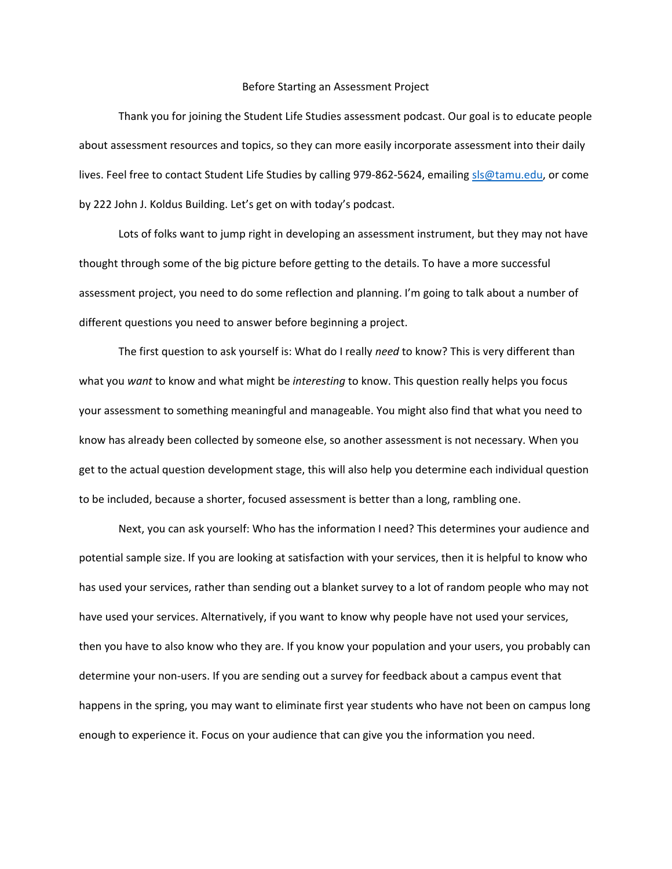## Before Starting an Assessment Project

Thank you for joining the Student Life Studies assessment podcast. Our goal is to educate people about assessment resources and topics, so they can more easily incorporate assessment into their daily lives. Feel free to contact Student Life Studies by calling 979-862-5624, emailing sls@tamu.edu, or come by 222 John J. Koldus Building. Let's get on with today's podcast.

 Lots of folks want to jump right in developing an assessment instrument, but they may not have thought through some of the big picture before getting to the details. To have a more successful assessment project, you need to do some reflection and planning. I'm going to talk about a number of different questions you need to answer before beginning a project.

The first question to ask yourself is: What do I really *need* to know? This is very different than what you *want* to know and what might be *interesting* to know. This question really helps you focus your assessment to something meaningful and manageable. You might also find that what you need to know has already been collected by someone else, so another assessment is not necessary. When you get to the actual question development stage, this will also help you determine each individual question to be included, because a shorter, focused assessment is better than a long, rambling one.

Next, you can ask yourself: Who has the information I need? This determines your audience and potential sample size. If you are looking at satisfaction with your services, then it is helpful to know who has used your services, rather than sending out a blanket survey to a lot of random people who may not have used your services. Alternatively, if you want to know why people have not used your services, then you have to also know who they are. If you know your population and your users, you probably can determine your non-users. If you are sending out a survey for feedback about a campus event that happens in the spring, you may want to eliminate first year students who have not been on campus long enough to experience it. Focus on your audience that can give you the information you need.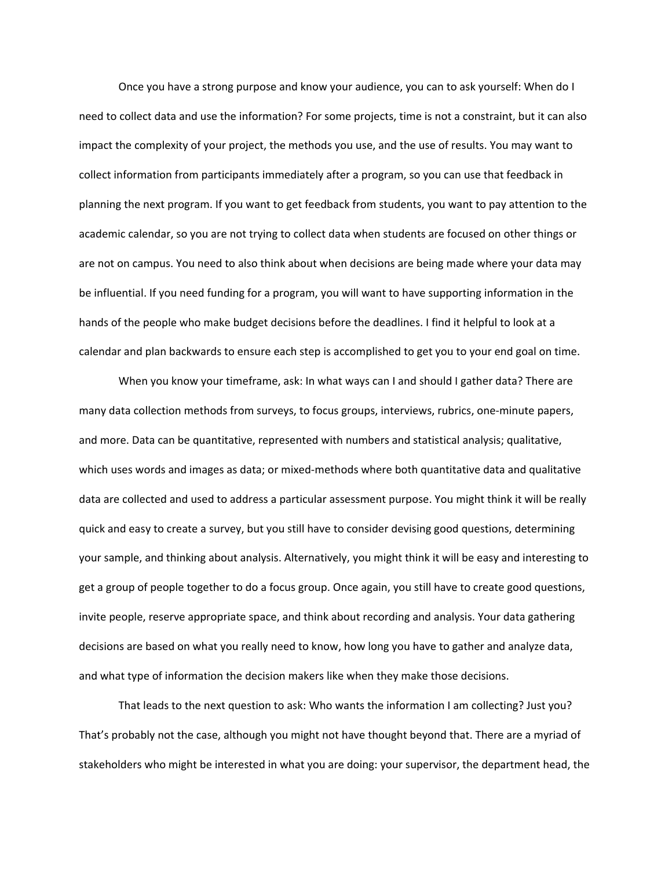Once you have a strong purpose and know your audience, you can to ask yourself: When do I need to collect data and use the information? For some projects, time is not a constraint, but it can also impact the complexity of your project, the methods you use, and the use of results. You may want to collect information from participants immediately after a program, so you can use that feedback in planning the next program. If you want to get feedback from students, you want to pay attention to the academic calendar, so you are not trying to collect data when students are focused on other things or are not on campus. You need to also think about when decisions are being made where your data may be influential. If you need funding for a program, you will want to have supporting information in the hands of the people who make budget decisions before the deadlines. I find it helpful to look at a calendar and plan backwards to ensure each step is accomplished to get you to your end goal on time.

When you know your timeframe, ask: In what ways can I and should I gather data? There are many data collection methods from surveys, to focus groups, interviews, rubrics, one-minute papers, and more. Data can be quantitative, represented with numbers and statistical analysis; qualitative, which uses words and images as data; or mixed-methods where both quantitative data and qualitative data are collected and used to address a particular assessment purpose. You might think it will be really quick and easy to create a survey, but you still have to consider devising good questions, determining your sample, and thinking about analysis. Alternatively, you might think it will be easy and interesting to get a group of people together to do a focus group. Once again, you still have to create good questions, invite people, reserve appropriate space, and think about recording and analysis. Your data gathering decisions are based on what you really need to know, how long you have to gather and analyze data, and what type of information the decision makers like when they make those decisions.

That leads to the next question to ask: Who wants the information I am collecting? Just you? That's probably not the case, although you might not have thought beyond that. There are a myriad of stakeholders who might be interested in what you are doing: your supervisor, the department head, the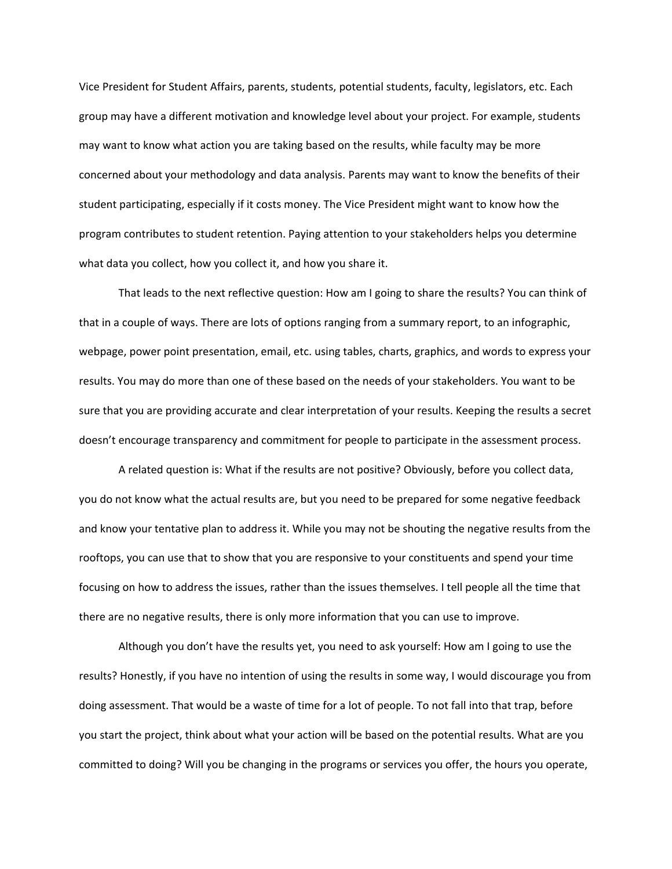Vice President for Student Affairs, parents, students, potential students, faculty, legislators, etc. Each group may have a different motivation and knowledge level about your project. For example, students may want to know what action you are taking based on the results, while faculty may be more concerned about your methodology and data analysis. Parents may want to know the benefits of their student participating, especially if it costs money. The Vice President might want to know how the program contributes to student retention. Paying attention to your stakeholders helps you determine what data you collect, how you collect it, and how you share it.

That leads to the next reflective question: How am I going to share the results? You can think of that in a couple of ways. There are lots of options ranging from a summary report, to an infographic, webpage, power point presentation, email, etc. using tables, charts, graphics, and words to express your results. You may do more than one of these based on the needs of your stakeholders. You want to be sure that you are providing accurate and clear interpretation of your results. Keeping the results a secret doesn't encourage transparency and commitment for people to participate in the assessment process.

A related question is: What if the results are not positive? Obviously, before you collect data, you do not know what the actual results are, but you need to be prepared for some negative feedback and know your tentative plan to address it. While you may not be shouting the negative results from the rooftops, you can use that to show that you are responsive to your constituents and spend your time focusing on how to address the issues, rather than the issues themselves. I tell people all the time that there are no negative results, there is only more information that you can use to improve.

Although you don't have the results yet, you need to ask yourself: How am I going to use the results? Honestly, if you have no intention of using the results in some way, I would discourage you from doing assessment. That would be a waste of time for a lot of people. To not fall into that trap, before you start the project, think about what your action will be based on the potential results. What are you committed to doing? Will you be changing in the programs or services you offer, the hours you operate,